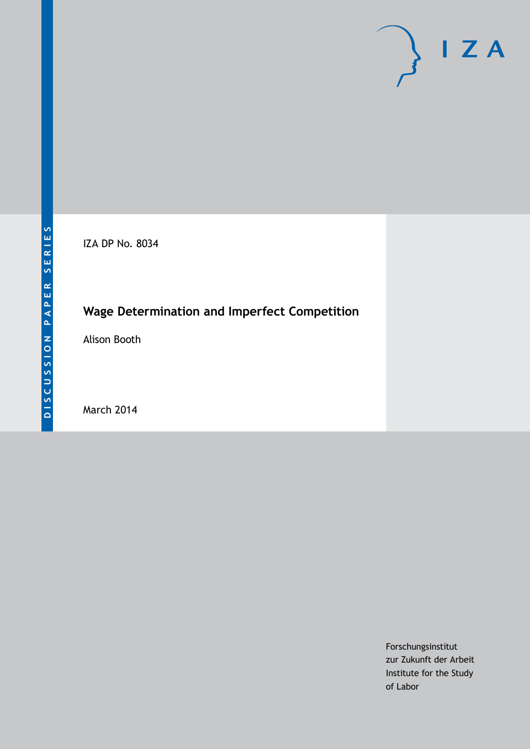

IZA DP No. 8034

# **Wage Determination and Imperfect Competition**

Alison Booth

March 2014

Forschungsinstitut zur Zukunft der Arbeit Institute for the Study of Labor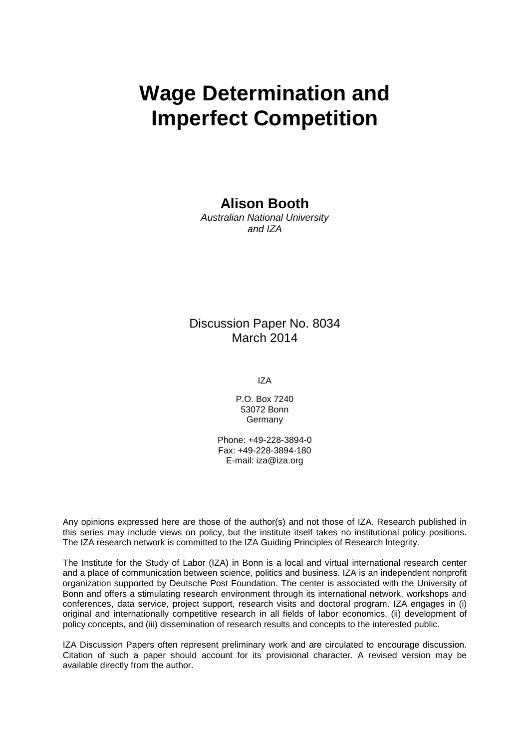# **Wage Determination and Imperfect Competition**

### **Alison Booth**

*Australian National University and IZA*

### Discussion Paper No. 8034 March 2014

IZA

P.O. Box 7240 53072 Bonn **Germany** 

Phone: +49-228-3894-0 Fax: +49-228-3894-180 E-mail: [iza@iza.org](mailto:iza@iza.org)

Any opinions expressed here are those of the author(s) and not those of IZA. Research published in this series may include views on policy, but the institute itself takes no institutional policy positions. The IZA research network is committed to the IZA Guiding Principles of Research Integrity.

The Institute for the Study of Labor (IZA) in Bonn is a local and virtual international research center and a place of communication between science, politics and business. IZA is an independent nonprofit organization supported by Deutsche Post Foundation. The center is associated with the University of Bonn and offers a stimulating research environment through its international network, workshops and conferences, data service, project support, research visits and doctoral program. IZA engages in (i) original and internationally competitive research in all fields of labor economics, (ii) development of policy concepts, and (iii) dissemination of research results and concepts to the interested public.

<span id="page-1-0"></span>IZA Discussion Papers often represent preliminary work and are circulated to encourage discussion. Citation of such a paper should account for its provisional character. A revised version may be available directly from the author.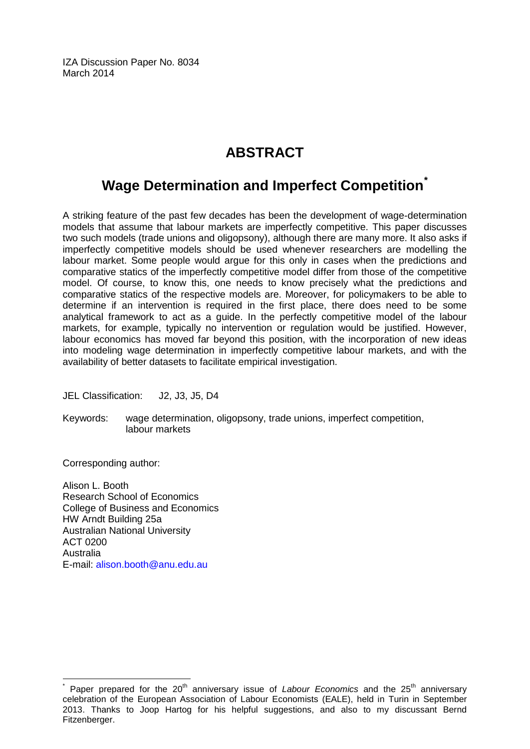IZA Discussion Paper No. 8034 March 2014

# **ABSTRACT**

## **Wage Determination and Imperfect Competition[\\*](#page-1-0)**

A striking feature of the past few decades has been the development of wage-determination models that assume that labour markets are imperfectly competitive. This paper discusses two such models (trade unions and oligopsony), although there are many more. It also asks if imperfectly competitive models should be used whenever researchers are modelling the labour market. Some people would argue for this only in cases when the predictions and comparative statics of the imperfectly competitive model differ from those of the competitive model. Of course, to know this, one needs to know precisely what the predictions and comparative statics of the respective models are. Moreover, for policymakers to be able to determine if an intervention is required in the first place, there does need to be some analytical framework to act as a guide. In the perfectly competitive model of the labour markets, for example, typically no intervention or regulation would be justified. However, labour economics has moved far beyond this position, with the incorporation of new ideas into modeling wage determination in imperfectly competitive labour markets, and with the availability of better datasets to facilitate empirical investigation.

JEL Classification: J2, J3, J5, D4

Keywords: wage determination, oligopsony, trade unions, imperfect competition, labour markets

Corresponding author:

Alison L. Booth Research School of Economics College of Business and Economics HW Arndt Building 25a Australian National University ACT 0200 Australia E-mail: [alison.booth@anu.edu.au](mailto:alison.booth@anu.edu.au)

Paper prepared for the 20<sup>th</sup> anniversary issue of *Labour Economics* and the 25<sup>th</sup> anniversary celebration of the European Association of Labour Economists (EALE), held in Turin in September 2013. Thanks to Joop Hartog for his helpful suggestions, and also to my discussant Bernd Fitzenberger.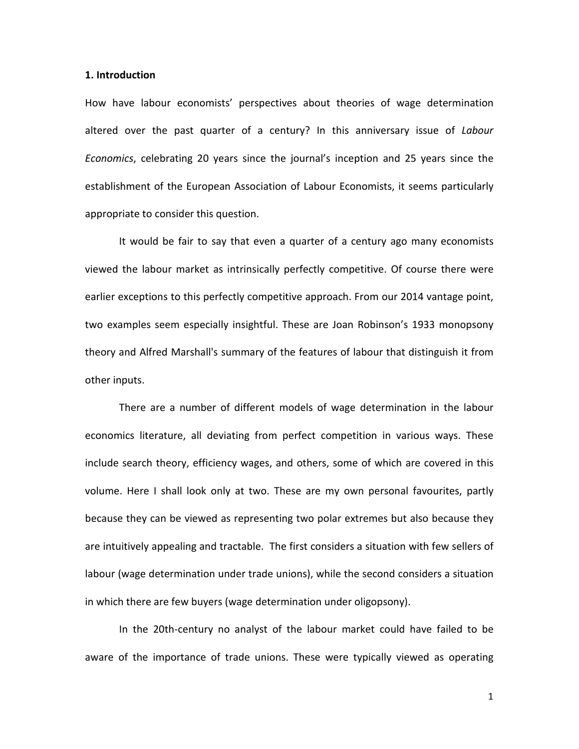#### **1. Introduction**

How have labour economists' perspectives about theories of wage determination altered over the past quarter of a century? In this anniversary issue of *Labour Economics*, celebrating 20 years since the journal's inception and 25 years since the establishment of the European Association of Labour Economists, it seems particularly appropriate to consider this question.

It would be fair to say that even a quarter of a century ago many economists viewed the labour market as intrinsically perfectly competitive. Of course there were earlier exceptions to this perfectly competitive approach. From our 2014 vantage point, two examples seem especially insightful. These are Joan Robinson's 1933 monopsony theory and Alfred Marshall's summary of the features of labour that distinguish it from other inputs.

There are a number of different models of wage determination in the labour economics literature, all deviating from perfect competition in various ways. These include search theory, efficiency wages, and others, some of which are covered in this volume. Here I shall look only at two. These are my own personal favourites, partly because they can be viewed as representing two polar extremes but also because they are intuitively appealing and tractable. The first considers a situation with few sellers of labour (wage determination under trade unions), while the second considers a situation in which there are few buyers (wage determination under oligopsony).

In the 20th-century no analyst of the labour market could have failed to be aware of the importance of trade unions. These were typically viewed as operating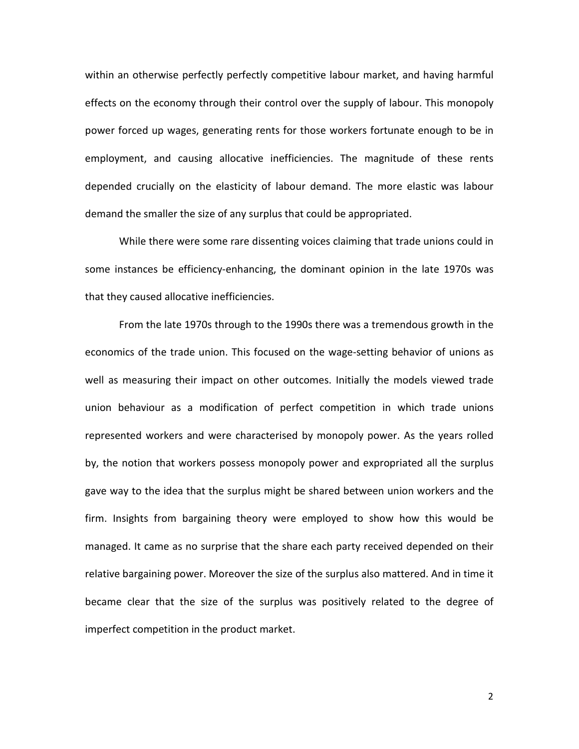within an otherwise perfectly perfectly competitive labour market, and having harmful effects on the economy through their control over the supply of labour. This monopoly power forced up wages, generating rents for those workers fortunate enough to be in employment, and causing allocative inefficiencies. The magnitude of these rents depended crucially on the elasticity of labour demand. The more elastic was labour demand the smaller the size of any surplus that could be appropriated.

While there were some rare dissenting voices claiming that trade unions could in some instances be efficiency-enhancing, the dominant opinion in the late 1970s was that they caused allocative inefficiencies.

From the late 1970s through to the 1990s there was a tremendous growth in the economics of the trade union. This focused on the wage-setting behavior of unions as well as measuring their impact on other outcomes. Initially the models viewed trade union behaviour as a modification of perfect competition in which trade unions represented workers and were characterised by monopoly power. As the years rolled by, the notion that workers possess monopoly power and expropriated all the surplus gave way to the idea that the surplus might be shared between union workers and the firm. Insights from bargaining theory were employed to show how this would be managed. It came as no surprise that the share each party received depended on their relative bargaining power. Moreover the size of the surplus also mattered. And in time it became clear that the size of the surplus was positively related to the degree of imperfect competition in the product market.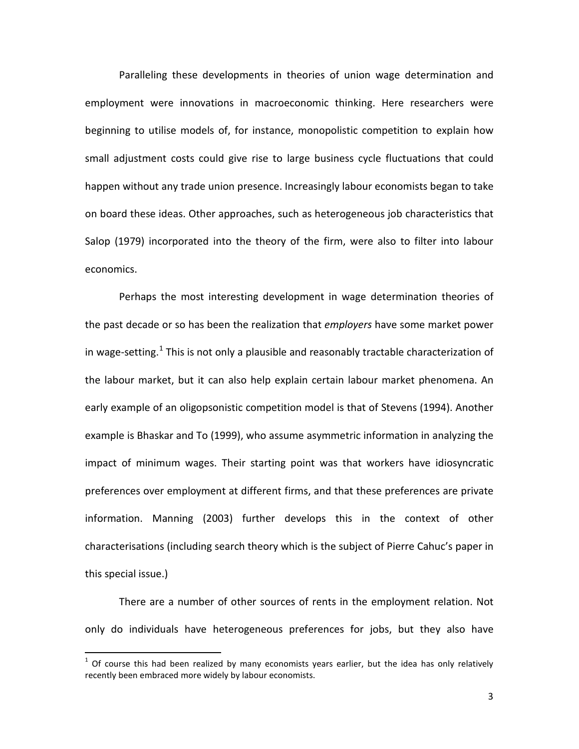Paralleling these developments in theories of union wage determination and employment were innovations in macroeconomic thinking. Here researchers were beginning to utilise models of, for instance, monopolistic competition to explain how small adjustment costs could give rise to large business cycle fluctuations that could happen without any trade union presence. Increasingly labour economists began to take on board these ideas. Other approaches, such as heterogeneous job characteristics that Salop (1979) incorporated into the theory of the firm, were also to filter into labour economics.

Perhaps the most interesting development in wage determination theories of the past decade or so has been the realization that *employers* have some market power in wage-setting.<sup>1</sup> This is not only a plausible and reasonably tractable characterization of the labour market, but it can also help explain certain labour market phenomena. An early example of an oligopsonistic competition model is that of Stevens (1994). Another example is Bhaskar and To (1999), who assume asymmetric information in analyzing the impact of minimum wages. Their starting point was that workers have idiosyncratic preferences over employment at different firms, and that these preferences are private information. Manning (2003) further develops this in the context of other characterisations (including search theory which is the subject of Pierre Cahuc's paper in this special issue.)

There are a number of other sources of rents in the employment relation. Not only do individuals have heterogeneous preferences for jobs, but they also have

<span id="page-5-0"></span> $1$  Of course this had been realized by many economists years earlier, but the idea has only relatively recently been embraced more widely by labour economists.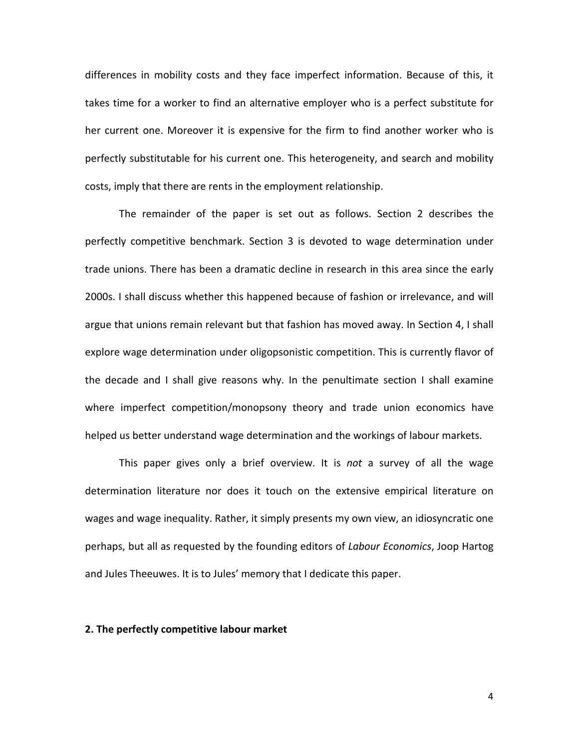differences in mobility costs and they face imperfect information. Because of this, it takes time for a worker to find an alternative employer who is a perfect substitute for her current one. Moreover it is expensive for the firm to find another worker who is perfectly substitutable for his current one. This heterogeneity, and search and mobility costs, imply that there are rents in the employment relationship.

The remainder of the paper is set out as follows. Section 2 describes the perfectly competitive benchmark. Section 3 is devoted to wage determination under trade unions. There has been a dramatic decline in research in this area since the early 2000s. I shall discuss whether this happened because of fashion or irrelevance, and will argue that unions remain relevant but that fashion has moved away. In Section 4, I shall explore wage determination under oligopsonistic competition. This is currently flavor of the decade and I shall give reasons why. In the penultimate section I shall examine where imperfect competition/monopsony theory and trade union economics have helped us better understand wage determination and the workings of labour markets.

This paper gives only a brief overview. It is *not* a survey of all the wage determination literature nor does it touch on the extensive empirical literature on wages and wage inequality. Rather, it simply presents my own view, an idiosyncratic one perhaps, but all as requested by the founding editors of *Labour Economics*, Joop Hartog and Jules Theeuwes. It is to Jules' memory that I dedicate this paper.

#### **2. The perfectly competitive labour market**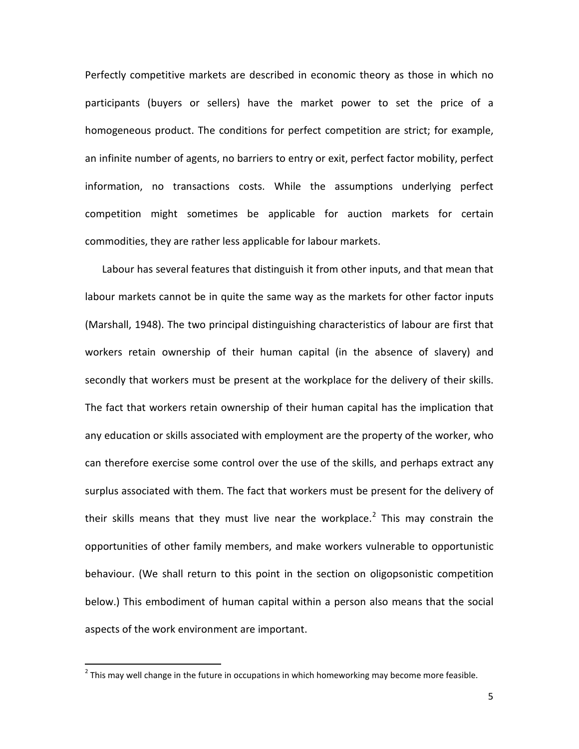Perfectly competitive markets are described in economic theory as those in which no participants (buyers or sellers) have the [market power](http://en.wikipedia.org/wiki/Market_power) to set the price of a homogeneous product. The conditions for perfect competition are strict; for example, an infinite number of agents, no barriers to entry or exit, perfect factor mobility, perfect information, no transactions costs. While the assumptions underlying perfect competition might sometimes be applicable for auction markets for certain commodities, they are rather less applicable for labour markets.

Labour has several features that distinguish it from other inputs, and that mean that labour markets cannot be in quite the same way as the markets for other factor inputs (Marshall, 1948). The two principal distinguishing characteristics of labour are first that workers retain ownership of their human capital (in the absence of slavery) and secondly that workers must be present at the workplace for the delivery of their skills. The fact that workers retain ownership of their human capital has the implication that any education or skills associated with employment are the property of the worker, who can therefore exercise some control over the use of the skills, and perhaps extract any surplus associated with them. The fact that workers must be present for the delivery of their skills means that they must live near the workplace.<sup>[2](#page-5-0)</sup> This may constrain the opportunities of other family members, and make workers vulnerable to opportunistic behaviour. (We shall return to this point in the section on oligopsonistic competition below.) This embodiment of human capital within a person also means that the social aspects of the work environment are important.

<span id="page-7-0"></span> $<sup>2</sup>$  This may well change in the future in occupations in which homeworking may become more feasible.</sup>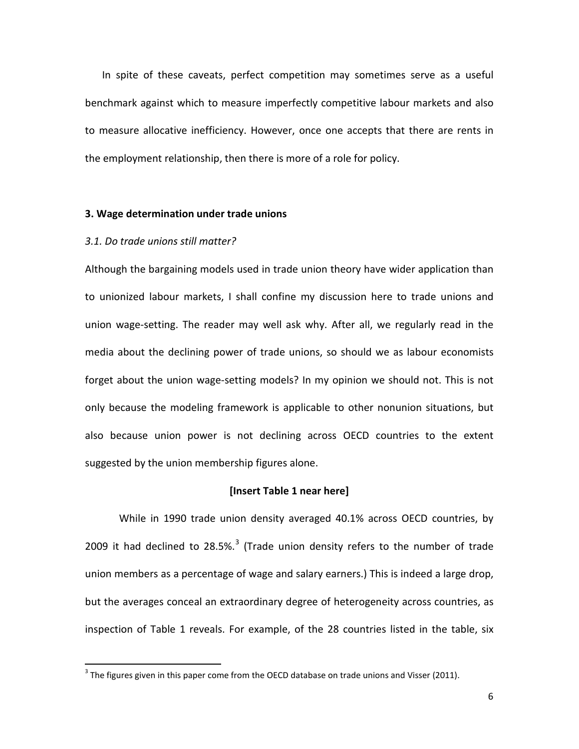In spite of these caveats, perfect competition may sometimes serve as a useful benchmark against which to measure [imperfectly competitive](http://en.wikipedia.org/wiki/Imperfect_competition) labour markets and also to measure allocative inefficiency. However, once one accepts that there are rents in the employment relationship, then there is more of a role for policy.

#### **3. Wage determination under trade unions**

#### *3.1. Do trade unions still matter?*

Although the bargaining models used in trade union theory have wider application than to unionized labour markets, I shall confine my discussion here to trade unions and union wage-setting. The reader may well ask why. After all, we regularly read in the media about the declining power of trade unions, so should we as labour economists forget about the union wage-setting models? In my opinion we should not. This is not only because the modeling framework is applicable to other nonunion situations, but also because union power is not declining across OECD countries to the extent suggested by the union membership figures alone.

#### **[Insert Table 1 near here]**

While in 1990 trade union density averaged 40.1% across OECD countries, by 2009 it had declined to  $28.5\%$ <sup>[3](#page-7-0)</sup> (Trade union density refers to the number of trade union members as a percentage of wage and salary earners.) This is indeed a large drop, but the averages conceal an extraordinary degree of heterogeneity across countries, as inspection of Table 1 reveals. For example, of the 28 countries listed in the table, six

<span id="page-8-0"></span> $3$  The figures given in this paper come from the OECD database on trade unions and Visser (2011).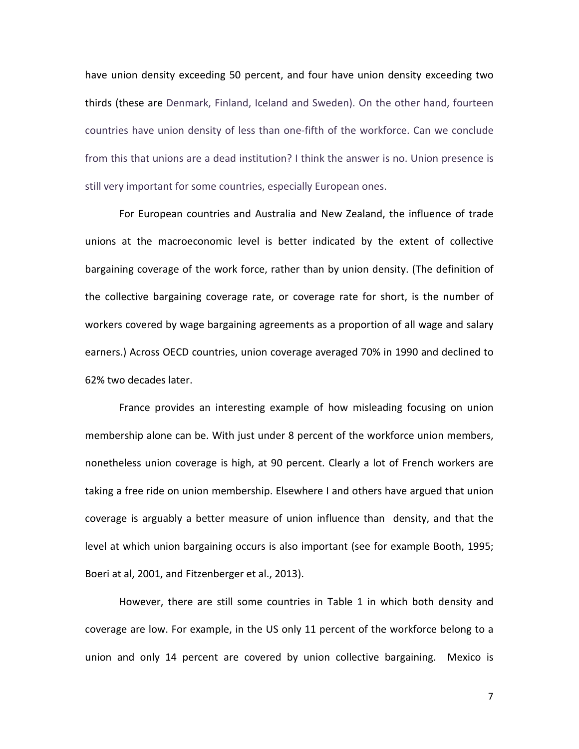have union density exceeding 50 percent, and four have union density exceeding two thirds (these are Denmark, Finland, Iceland and Sweden). On the other hand, fourteen countries have union density of less than one-fifth of the workforce. Can we conclude from this that unions are a dead institution? I think the answer is no. Union presence is still very important for some countries, especially European ones.

For European countries and Australia and New Zealand, the influence of trade unions at the macroeconomic level is better indicated by the extent of collective bargaining coverage of the work force, rather than by union density. (The definition of the collective bargaining coverage rate, or coverage rate for short, is the number of workers covered by wage bargaining agreements as a proportion of all wage and salary earners.) Across OECD countries, union coverage averaged 70% in 1990 and declined to 62% two decades later.

France provides an interesting example of how misleading focusing on union membership alone can be. With just under 8 percent of the workforce union members, nonetheless union coverage is high, at 90 percent. Clearly a lot of French workers are taking a free ride on union membership. Elsewhere I and others have argued that union coverage is arguably a better measure of union influence than density, and that the level at which union bargaining occurs is also important (see for example Booth, 1995; Boeri at al, 2001, and Fitzenberger et al., 2013).

However, there are still some countries in Table 1 in which both density and coverage are low. For example, in the US only 11 percent of the workforce belong to a union and only 14 percent are covered by union collective bargaining. Mexico is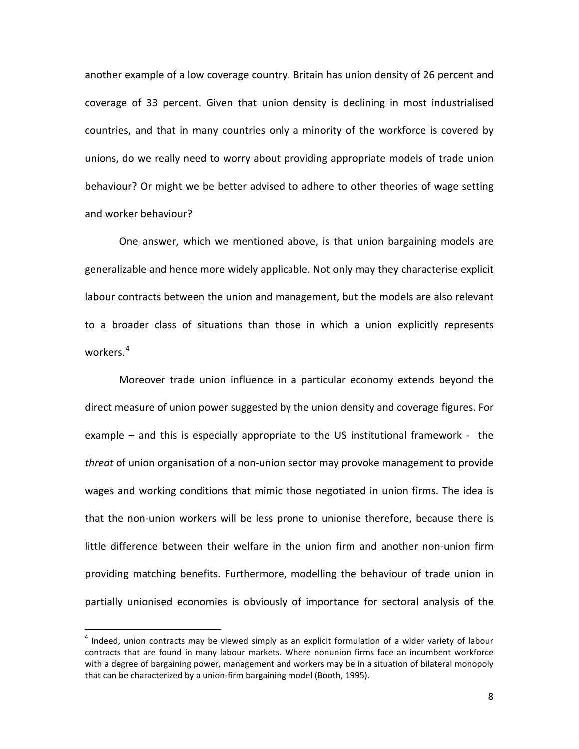another example of a low coverage country. Britain has union density of 26 percent and coverage of 33 percent. Given that union density is declining in most industrialised countries, and that in many countries only a minority of the workforce is covered by unions, do we really need to worry about providing appropriate models of trade union behaviour? Or might we be better advised to adhere to other theories of wage setting and worker behaviour?

One answer, which we mentioned above, is that union bargaining models are generalizable and hence more widely applicable. Not only may they characterise explicit labour contracts between the union and management, but the models are also relevant to a broader class of situations than those in which a union explicitly represents workers.<sup>[4](#page-8-0)</sup>

Moreover trade union influence in a particular economy extends beyond the direct measure of union power suggested by the union density and coverage figures. For example – and this is especially appropriate to the US institutional framework - the *threat* of union organisation of a non-union sector may provoke management to provide wages and working conditions that mimic those negotiated in union firms. The idea is that the non-union workers will be less prone to unionise therefore, because there is little difference between their welfare in the union firm and another non-union firm providing matching benefits. Furthermore, modelling the behaviour of trade union in partially unionised economies is obviously of importance for sectoral analysis of the

<span id="page-10-0"></span> $4$  Indeed, union contracts may be viewed simply as an explicit formulation of a wider variety of labour contracts that are found in many labour markets. Where nonunion firms face an incumbent workforce with a degree of bargaining power, management and workers may be in a situation of bilateral monopoly that can be characterized by a union-firm bargaining model (Booth, 1995).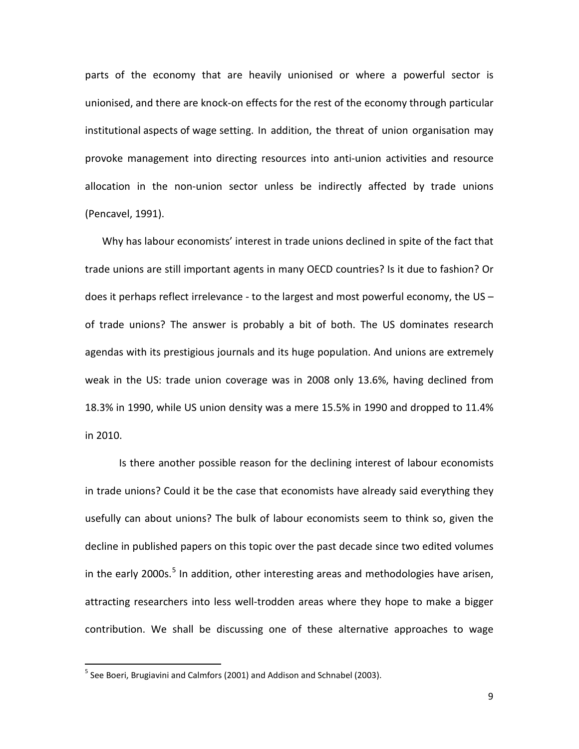parts of the economy that are heavily unionised or where a powerful sector is unionised, and there are knock-on effects for the rest of the economy through particular institutional aspects of wage setting. In addition, the threat of union organisation may provoke management into directing resources into anti-union activities and resource allocation in the non-union sector unless be indirectly affected by trade unions (Pencavel, 1991).

Why has labour economists' interest in trade unions declined in spite of the fact that trade unions are still important agents in many OECD countries? Is it due to fashion? Or does it perhaps reflect irrelevance - to the largest and most powerful economy, the US – of trade unions? The answer is probably a bit of both. The US dominates research agendas with its prestigious journals and its huge population. And unions are extremely weak in the US: trade union coverage was in 2008 only 13.6%, having declined from 18.3% in 1990, while US union density was a mere 15.5% in 1990 and dropped to 11.4% in 2010.

<span id="page-11-0"></span>Is there another possible reason for the declining interest of labour economists in trade unions? Could it be the case that economists have already said everything they usefully can about unions? The bulk of labour economists seem to think so, given the decline in published papers on this topic over the past decade since two edited volumes in the early 2000s.<sup>[5](#page-10-0)</sup> In addition, other interesting areas and methodologies have arisen, attracting researchers into less well-trodden areas where they hope to make a bigger contribution. We shall be discussing one of these alternative approaches to wage

 $<sup>5</sup>$  See Boeri, Brugiavini and Calmfors (2001) and [Addison](http://www.e-elgar.co.uk/search_results.lasso?Author_Name_grp=John%20T.%20Addison) and Schnabel (2003).</sup>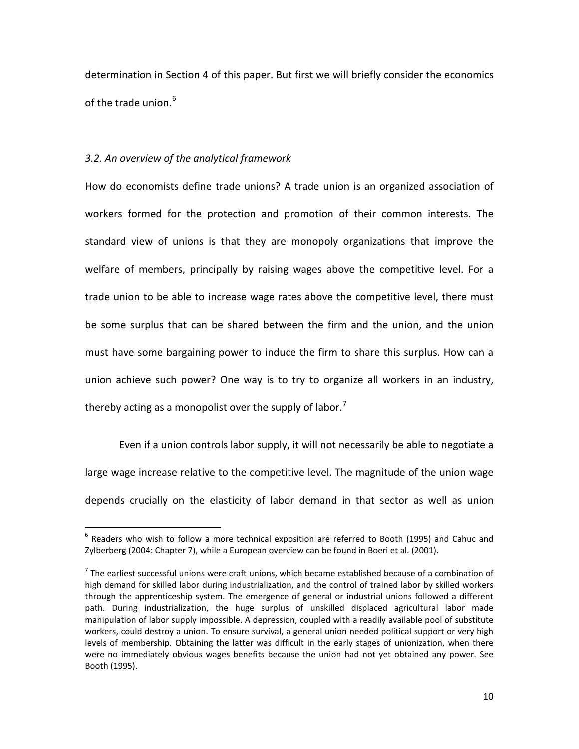determination in Section 4 of this paper. But first we will briefly consider the economics of the trade union.<sup>[6](#page-11-0)</sup>

#### *3.2. An overview of the analytical framework*

How do economists define trade unions? A trade union is an organized association of workers formed for the protection and promotion of their common interests. The standard view of unions is that they are monopoly organizations that improve the welfare of members, principally by raising wages above the competitive level. For a trade union to be able to increase wage rates above the competitive level, there must be some surplus that can be shared between the firm and the union, and the union must have some bargaining power to induce the firm to share this surplus. How can a union achieve such power? One way is to try to organize all workers in an industry, thereby acting as a monopolist over the supply of labor.<sup>[7](#page-12-0)</sup>

Even if a union controls labor supply, it will not necessarily be able to negotiate a large wage increase relative to the competitive level. The magnitude of the union wage depends crucially on the elasticity of labor demand in that sector as well as union

 $6$  Readers who wish to follow a more technical exposition are referred to Booth (1995) and Cahuc and Zylberberg (2004: Chapter 7), while a European overview can be found in Boeri et al. (2001).

<span id="page-12-1"></span><span id="page-12-0"></span> $<sup>7</sup>$  The earliest successful unions were craft unions, which became established because of a combination of</sup> high demand for skilled labor during industrialization, and the control of trained labor by skilled workers through the apprenticeship system. The emergence of general or industrial unions followed a different path. During industrialization, the huge surplus of unskilled displaced agricultural labor made manipulation of labor supply impossible. A depression, coupled with a readily available pool of substitute workers, could destroy a union. To ensure survival, a general union needed political support or very high levels of membership. Obtaining the latter was difficult in the early stages of unionization, when there were no immediately obvious wages benefits because the union had not yet obtained any power. See Booth (1995).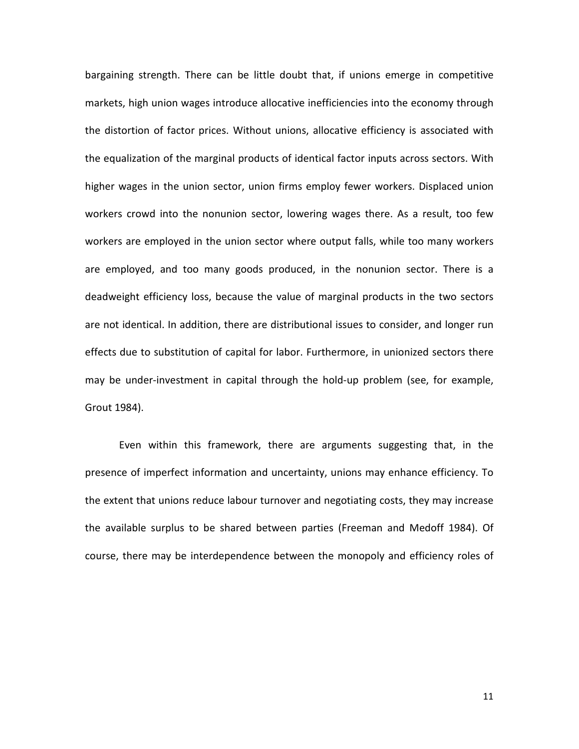bargaining strength. There can be little doubt that, if unions emerge in competitive markets, high union wages introduce allocative inefficiencies into the economy through the distortion of factor prices. Without unions, allocative efficiency is associated with the equalization of the marginal products of identical factor inputs across sectors. With higher wages in the union sector, union firms employ fewer workers. Displaced union workers crowd into the nonunion sector, lowering wages there. As a result, too few workers are employed in the union sector where output falls, while too many workers are employed, and too many goods produced, in the nonunion sector. There is a deadweight efficiency loss, because the value of marginal products in the two sectors are not identical. In addition, there are distributional issues to consider, and longer run effects due to substitution of capital for labor. Furthermore, in unionized sectors there may be under-investment in capital through the hold-up problem (see, for example, Grout 1984).

Even within this framework, there are arguments suggesting that, in the presence of imperfect information and uncertainty, unions may enhance efficiency. To the extent that unions reduce labour turnover and negotiating costs, they may increase the available surplus to be shared between parties (Freeman and Medoff 1984). Of course, there may be interdependence between the monopoly and efficiency roles of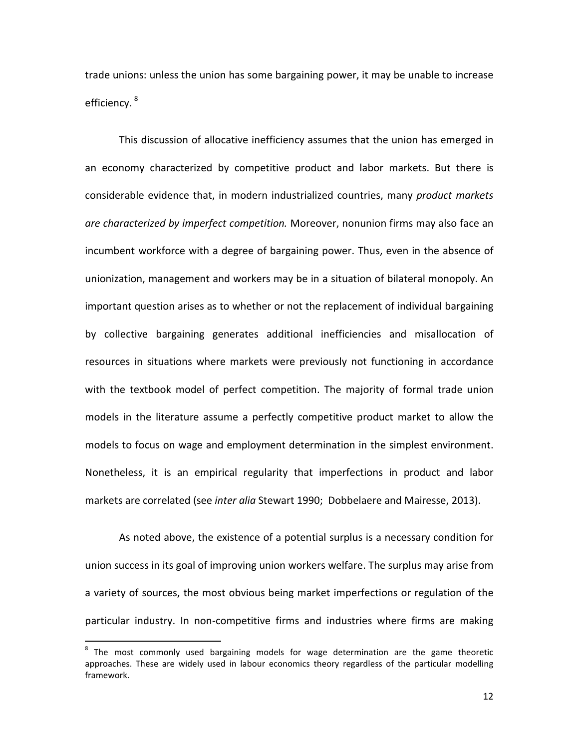trade unions: unless the union has some bargaining power, it may be unable to increase efficiency.<sup>[8](#page-12-1)</sup>

This discussion of allocative inefficiency assumes that the union has emerged in an economy characterized by competitive product and labor markets. But there is considerable evidence that, in modern industrialized countries, many *product markets are characterized by imperfect competition.* Moreover, nonunion firms may also face an incumbent workforce with a degree of bargaining power. Thus, even in the absence of unionization, management and workers may be in a situation of bilateral monopoly. An important question arises as to whether or not the replacement of individual bargaining by collective bargaining generates additional inefficiencies and misallocation of resources in situations where markets were previously not functioning in accordance with the textbook model of perfect competition. The majority of formal trade union models in the literature assume a perfectly competitive product market to allow the models to focus on wage and employment determination in the simplest environment. Nonetheless, it is an empirical regularity that imperfections in product and labor markets are correlated (see *inter alia* Stewart 1990; Dobbelaere and Mairesse, 2013).

As noted above, the existence of a potential surplus is a necessary condition for union success in its goal of improving union workers welfare. The surplus may arise from a variety of sources, the most obvious being market imperfections or regulation of the particular industry. In non-competitive firms and industries where firms are making

<span id="page-14-0"></span><sup>&</sup>lt;sup>8</sup> The most commonly used bargaining models for wage determination are the game theoretic approaches. These are widely used in labour economics theory regardless of the particular modelling framework.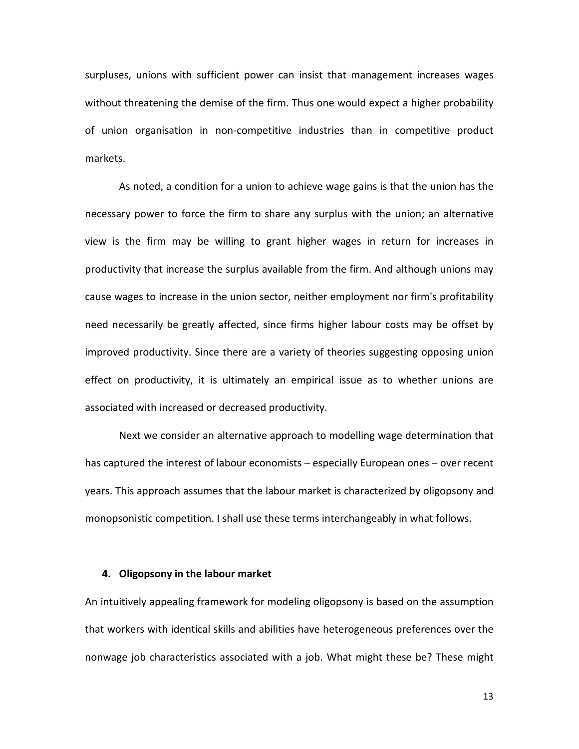surpluses, unions with sufficient power can insist that management increases wages without threatening the demise of the firm. Thus one would expect a higher probability of union organisation in non-competitive industries than in competitive product markets.

As noted, a condition for a union to achieve wage gains is that the union has the necessary power to force the firm to share any surplus with the union; an alternative view is the firm may be willing to grant higher wages in return for increases in productivity that increase the surplus available from the firm. And although unions may cause wages to increase in the union sector, neither employment nor firm's profitability need necessarily be greatly affected, since firms higher labour costs may be offset by improved productivity. Since there are a variety of theories suggesting opposing union effect on productivity, it is ultimately an empirical issue as to whether unions are associated with increased or decreased productivity.

Next we consider an alternative approach to modelling wage determination that has captured the interest of labour economists – especially European ones – over recent years. This approach assumes that the labour market is characterized by oligopsony and monopsonistic competition. I shall use these terms interchangeably in what follows.

#### **4. Oligopsony in the labour market**

An intuitively appealing framework for modeling oligopsony is based on the assumption that workers with identical skills and abilities have heterogeneous preferences over the nonwage job characteristics associated with a job. What might these be? These might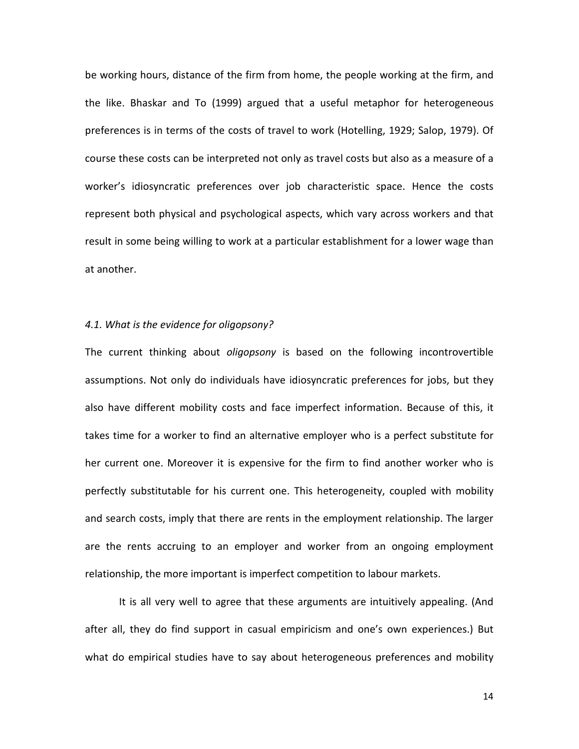be working hours, distance of the firm from home, the people working at the firm, and the like. Bhaskar and To (1999) argued that a useful metaphor for heterogeneous preferences is in terms of the costs of travel to work (Hotelling, 1929; Salop, 1979). Of course these costs can be interpreted not only as travel costs but also as a measure of a worker's idiosyncratic preferences over job characteristic space. Hence the costs represent both physical and psychological aspects, which vary across workers and that result in some being willing to work at a particular establishment for a lower wage than at another.

#### *4.1. What is the evidence for oligopsony?*

The current thinking about *oligopsony* is based on the following incontrovertible assumptions. Not only do individuals have idiosyncratic preferences for jobs, but they also have different mobility costs and face imperfect information. Because of this, it takes time for a worker to find an alternative employer who is a perfect substitute for her current one. Moreover it is expensive for the firm to find another worker who is perfectly substitutable for his current one. This heterogeneity, coupled with mobility and search costs, imply that there are rents in the employment relationship. The larger are the rents accruing to an employer and worker from an ongoing employment relationship, the more important is imperfect competition to labour markets.

It is all very well to agree that these arguments are intuitively appealing. (And after all, they do find support in casual empiricism and one's own experiences.) But what do empirical studies have to say about heterogeneous preferences and mobility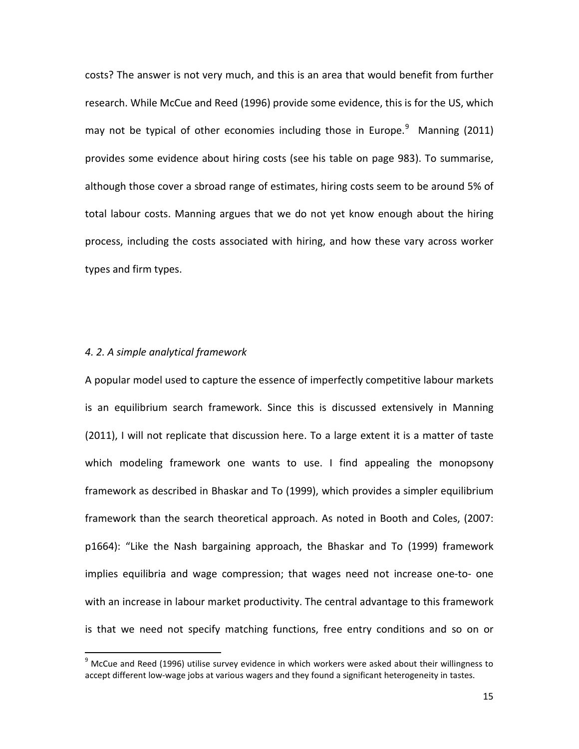costs? The answer is not very much, and this is an area that would benefit from further research. While McCue and Reed (1996) provide some evidence, this is for the US, which may not be typical of other economies including those in Europe. $9$  Manning (2011) provides some evidence about hiring costs (see his table on page 983). To summarise, although those cover a sbroad range of estimates, hiring costs seem to be around 5% of total labour costs. Manning argues that we do not yet know enough about the hiring process, including the costs associated with hiring, and how these vary across worker types and firm types.

#### *4. 2. A simple analytical framework*

A popular model used to capture the essence of imperfectly competitive labour markets is an equilibrium search framework. Since this is discussed extensively in Manning (2011), I will not replicate that discussion here. To a large extent it is a matter of taste which modeling framework one wants to use. I find appealing the monopsony framework as described in Bhaskar and To (1999), which provides a simpler equilibrium framework than the search theoretical approach. As noted in Booth and Coles, (2007: p1664): "Like the Nash bargaining approach, the Bhaskar and To (1999) framework implies equilibria and wage compression; that wages need not increase one-to- one with an increase in labour market productivity. The central advantage to this framework is that we need not specify matching functions, free entry conditions and so on or

<span id="page-17-0"></span> $9$  McCue and Reed (1996) utilise survey evidence in which workers were asked about their willingness to accept different low-wage jobs at various wagers and they found a significant heterogeneity in tastes.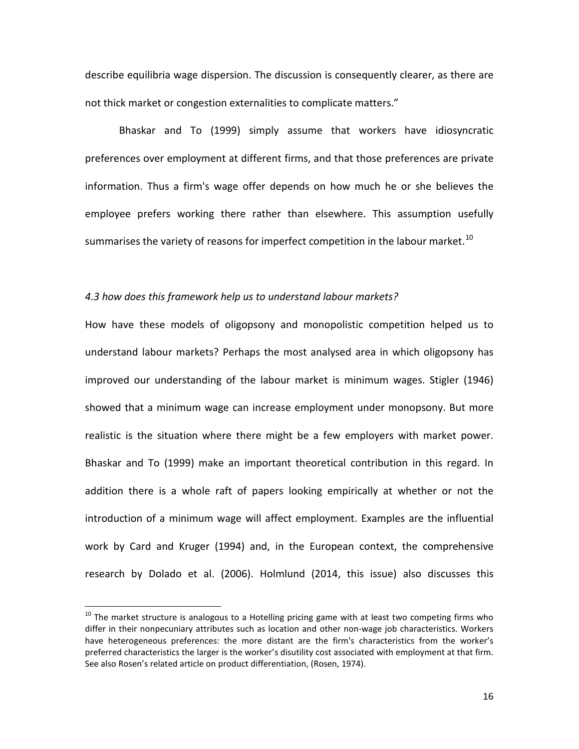describe equilibria wage dispersion. The discussion is consequently clearer, as there are not thick market or congestion externalities to complicate matters."

Bhaskar and To (1999) simply assume that workers have idiosyncratic preferences over employment at different firms, and that those preferences are private information. Thus a firm's wage offer depends on how much he or she believes the employee prefers working there rather than elsewhere. This assumption usefully summarises the variety of reasons for imperfect competition in the labour market.<sup>[10](#page-17-0)</sup>

#### *4.3 how does this framework help us to understand labour markets?*

How have these models of oligopsony and monopolistic competition helped us to understand labour markets? Perhaps the most analysed area in which oligopsony has improved our understanding of the labour market is minimum wages. Stigler (1946) showed that a minimum wage can increase employment under monopsony. But more realistic is the situation where there might be a few employers with market power. Bhaskar and To (1999) make an important theoretical contribution in this regard. In addition there is a whole raft of papers looking empirically at whether or not the introduction of a minimum wage will affect employment. Examples are the influential work by Card and Kruger (1994) and, in the European context, the comprehensive research by Dolado et al. (2006). Holmlund (2014, this issue) also discusses this

<span id="page-18-0"></span> $10$  The market structure is analogous to a Hotelling pricing game with at least two competing firms who differ in their nonpecuniary attributes such as location and other non-wage job characteristics. Workers have heterogeneous preferences: the more distant are the firm's characteristics from the worker's preferred characteristics the larger is the worker's disutility cost associated with employment at that firm. See also Rosen's related article on product differentiation, (Rosen, 1974).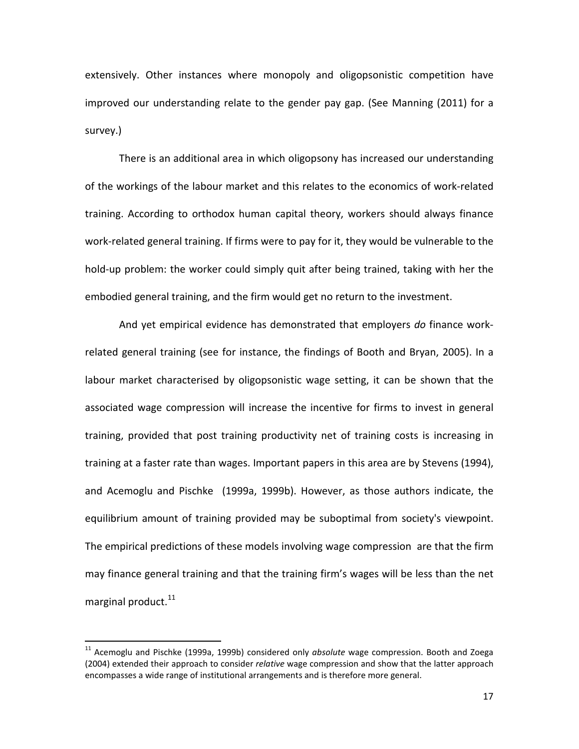extensively. Other instances where monopoly and oligopsonistic competition have improved our understanding relate to the gender pay gap. (See Manning (2011) for a survey.)

There is an additional area in which oligopsony has increased our understanding of the workings of the labour market and this relates to the economics of work-related training. According to orthodox human capital theory, workers should always finance work-related general training. If firms were to pay for it, they would be vulnerable to the hold-up problem: the worker could simply quit after being trained, taking with her the embodied general training, and the firm would get no return to the investment.

And yet empirical evidence has demonstrated that employers *do* finance workrelated general training (see for instance, the findings of Booth and Bryan, 2005). In a labour market characterised by oligopsonistic wage setting, it can be shown that the associated wage compression will increase the incentive for firms to invest in general training, provided that post training productivity net of training costs is increasing in training at a faster rate than wages. Important papers in this area are by Stevens (1994), and Acemoglu and Pischke (1999a, 1999b). However, as those authors indicate, the equilibrium amount of training provided may be suboptimal from society's viewpoint. The empirical predictions of these models involving wage compression are that the firm may finance general training and that the training firm's wages will be less than the net marginal product. $^{11}$ 

 <sup>11</sup> Acemoglu and Pischke (1999a, 1999b) considered only *absolute* wage compression. Booth and Zoega (2004) extended their approach to consider *relative* wage compression and show that the latter approach encompasses a wide range of institutional arrangements and is therefore more general.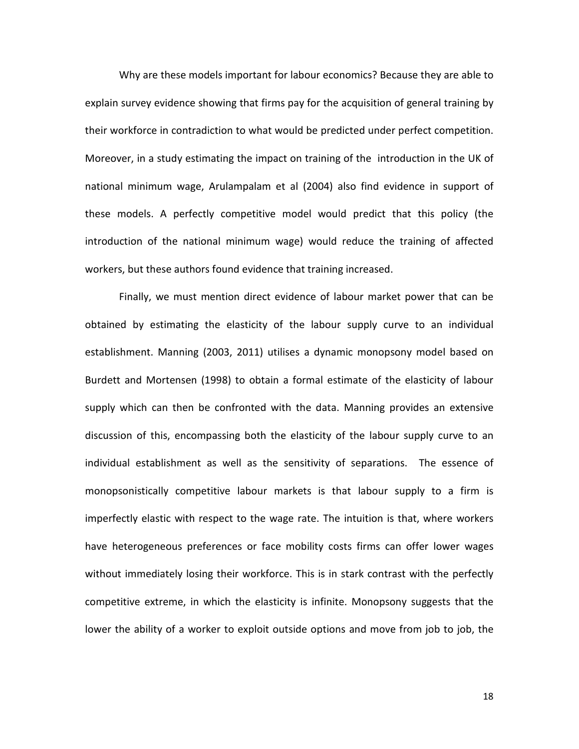Why are these models important for labour economics? Because they are able to explain survey evidence showing that firms pay for the acquisition of general training by their workforce in contradiction to what would be predicted under perfect competition. Moreover, in a study estimating the impact on training of the introduction in the UK of national minimum wage, Arulampalam et al (2004) also find evidence in support of these models. A perfectly competitive model would predict that this policy (the introduction of the national minimum wage) would reduce the training of affected workers, but these authors found evidence that training increased.

Finally, we must mention direct evidence of labour market power that can be obtained by estimating the elasticity of the labour supply curve to an individual establishment. Manning (2003, 2011) utilises a dynamic monopsony model based on Burdett and Mortensen (1998) to obtain a formal estimate of the elasticity of labour supply which can then be confronted with the data. Manning provides an extensive discussion of this, encompassing both the elasticity of the labour supply curve to an individual establishment as well as the sensitivity of separations. The essence of monopsonistically competitive labour markets is that labour supply to a firm is imperfectly elastic with respect to the wage rate. The intuition is that, where workers have heterogeneous preferences or face mobility costs firms can offer lower wages without immediately losing their workforce. This is in stark contrast with the perfectly competitive extreme, in which the elasticity is infinite. Monopsony suggests that the lower the ability of a worker to exploit outside options and move from job to job, the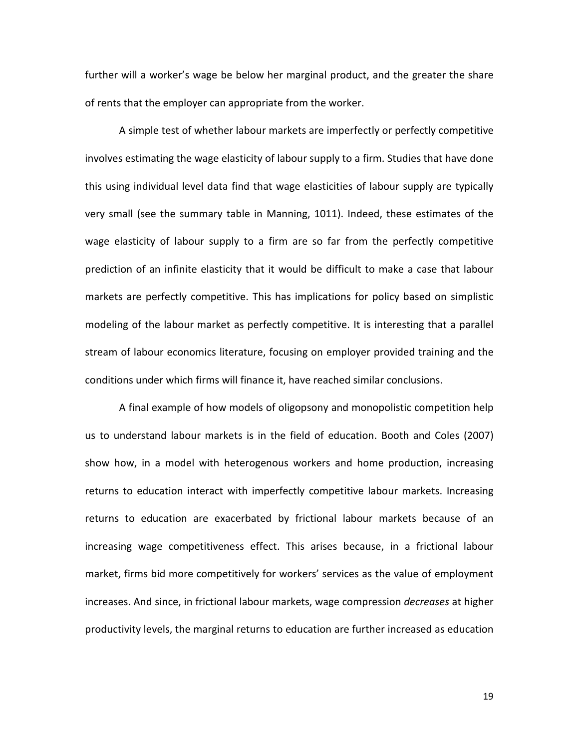further will a worker's wage be below her marginal product, and the greater the share of rents that the employer can appropriate from the worker.

A simple test of whether labour markets are imperfectly or perfectly competitive involves estimating the wage elasticity of labour supply to a firm. Studies that have done this using individual level data find that wage elasticities of labour supply are typically very small (see the summary table in Manning, 1011). Indeed, these estimates of the wage elasticity of labour supply to a firm are so far from the perfectly competitive prediction of an infinite elasticity that it would be difficult to make a case that labour markets are perfectly competitive. This has implications for policy based on simplistic modeling of the labour market as perfectly competitive. It is interesting that a parallel stream of labour economics literature, focusing on employer provided training and the conditions under which firms will finance it, have reached similar conclusions.

A final example of how models of oligopsony and monopolistic competition help us to understand labour markets is in the field of education. Booth and Coles (2007) show how, in a model with heterogenous workers and home production, increasing returns to education interact with imperfectly competitive labour markets. Increasing returns to education are exacerbated by frictional labour markets because of an increasing wage competitiveness effect. This arises because, in a frictional labour market, firms bid more competitively for workers' services as the value of employment increases. And since, in frictional labour markets, wage compression *decreases* at higher productivity levels, the marginal returns to education are further increased as education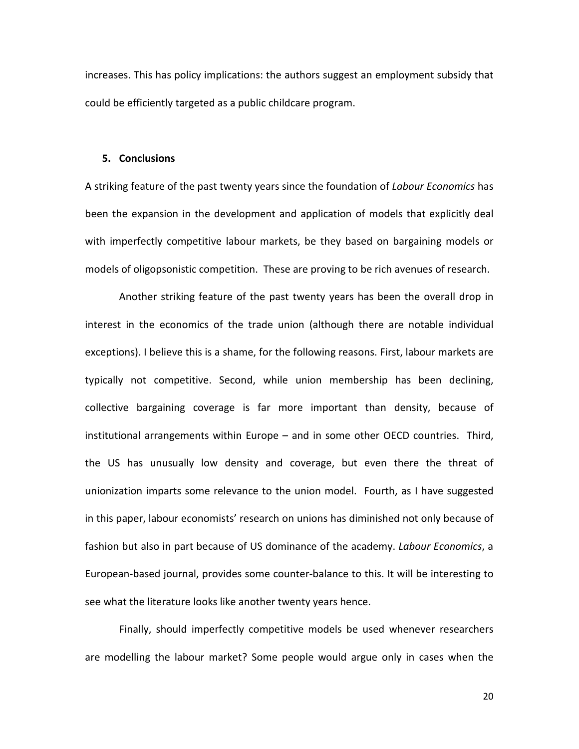increases. This has policy implications: the authors suggest an employment subsidy that could be efficiently targeted as a public childcare program.

#### **5. Conclusions**

A striking feature of the past twenty years since the foundation of *Labour Economics* has been the expansion in the development and application of models that explicitly deal with imperfectly competitive labour markets, be they based on bargaining models or models of oligopsonistic competition. These are proving to be rich avenues of research.

Another striking feature of the past twenty years has been the overall drop in interest in the economics of the trade union (although there are notable individual exceptions). I believe this is a shame, for the following reasons. First, labour markets are typically not competitive. Second, while union membership has been declining, collective bargaining coverage is far more important than density, because of institutional arrangements within Europe – and in some other OECD countries. Third, the US has unusually low density and coverage, but even there the threat of unionization imparts some relevance to the union model. Fourth, as I have suggested in this paper, labour economists' research on unions has diminished not only because of fashion but also in part because of US dominance of the academy. *Labour Economics*, a European-based journal, provides some counter-balance to this. It will be interesting to see what the literature looks like another twenty years hence.

Finally, should imperfectly competitive models be used whenever researchers are modelling the labour market? Some people would argue only in cases when the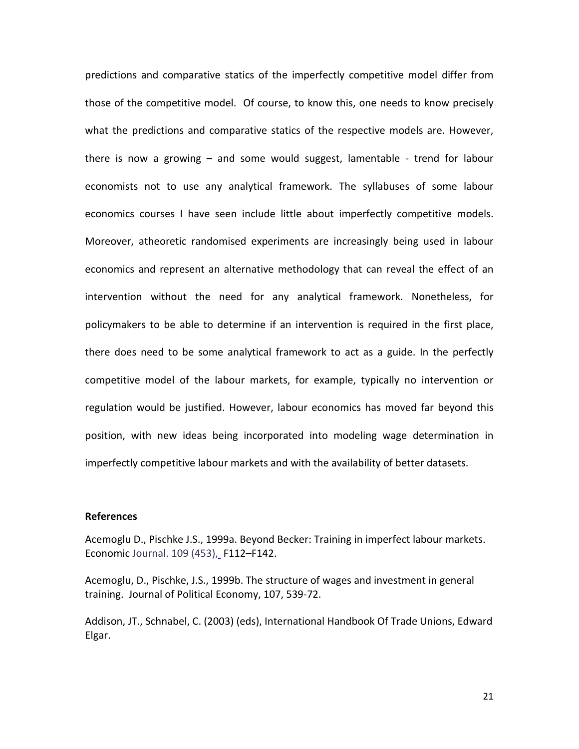predictions and comparative statics of the imperfectly competitive model differ from those of the competitive model. Of course, to know this, one needs to know precisely what the predictions and comparative statics of the respective models are. However, there is now a growing – and some would suggest, lamentable - trend for labour economists not to use any analytical framework. The syllabuses of some labour economics courses I have seen include little about imperfectly competitive models. Moreover, atheoretic randomised experiments are increasingly being used in labour economics and represent an alternative methodology that can reveal the effect of an intervention without the need for any analytical framework. Nonetheless, for policymakers to be able to determine if an intervention is required in the first place, there does need to be some analytical framework to act as a guide. In the perfectly competitive model of the labour markets, for example, typically no intervention or regulation would be justified. However, labour economics has moved far beyond this position, with new ideas being incorporated into modeling wage determination in imperfectly competitive labour markets and with the availability of better datasets.

#### **References**

Acemoglu D., Pischke J.S., 1999a. Beyond Becker: Training in imperfect labour markets. Economic Journal. 109 [\(453\),](http://onlinelibrary.wiley.com/doi/10.1111/ecoj.1999.109.issue-453/issuetoc) F112–F142.

Acemoglu, D., Pischke, J.S., 1999b. The structure of wages and investment in general training. Journal of Political Economy, 107, 539-72.

[Addison,](http://www.e-elgar.co.uk/search_results.lasso?Author_Name_grp=John%20T.%20Addison) JT., [Schnabel,](http://www.e-elgar.co.uk/search_results.lasso?Author_Name_grp=Claus%20Schnabel) C. (2003) (eds), International Handbook Of Trade Unions, Edward Elgar.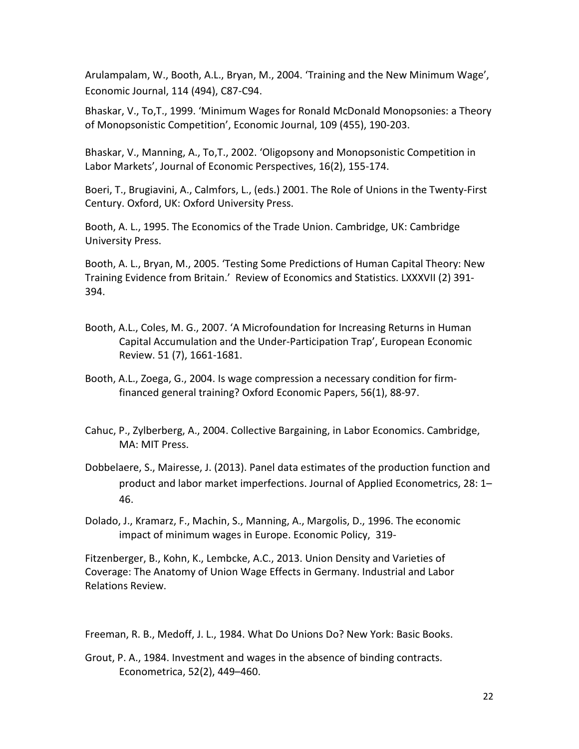Arulampalam, W., Booth, A.L., Bryan, M., 2004. 'Training and the New Minimum Wage', Economic Journal, 114 (494), C87-C94.

Bhaskar, V., To,T., 1999. 'Minimum Wages for Ronald McDonald Monopsonies: a Theory of Monopsonistic Competition', Economic Journal, 109 (455), 190-203.

Bhaskar, V., Manning, A., To,T., 2002. 'Oligopsony and Monopsonistic Competition in Labor Markets', Journal of Economic Perspectives, 16(2), 155-174.

Boeri, T., Brugiavini, A., Calmfors, L., (eds.) 2001. The Role of Unions in the Twenty-First Century. Oxford, UK: Oxford University Press.

Booth, A. L., 1995. The Economics of the Trade Union. Cambridge, UK: Cambridge University Press.

Booth, A. L., Bryan, M., 2005. 'Testing Some Predictions of Human Capital Theory: New Training Evidence from Britain.' Review of Economics and Statistics. LXXXVII (2) 391- 394.

- Booth, A.L., Coles, M. G., 2007. 'A Microfoundation for Increasing Returns in Human Capital Accumulation and the Under-Participation Trap', European Economic Review. 51 (7), 1661-1681.
- Booth, A.L., Zoega, G., 2004. [Is wage compression a necessary condition for firm](http://oep.oxfordjournals.org/content/56/1/88.short)[financed general training?](http://oep.oxfordjournals.org/content/56/1/88.short) Oxford Economic Papers, 56(1), 88-97.
- [Cahuc,](http://mitpress.mit.edu/catalog/author/default.asp?aid=20727) P., [Zylberberg,](http://mitpress.mit.edu/catalog/author/default.asp?aid=20728) A., 2004. Collective Bargaining, in Labor Economics. Cambridge, MA: MIT Press.
- Dobbelaere, S., Mairesse, J. (2013). Panel data estimates of the production function and product and labor market imperfections. Journal of Applied Econometrics, 28: 1– 46.
- Dolado, J., [Kramarz,](http://scholar.google.co.uk/citations?user=hefn1IYAAAAJ&hl=en&oi=sra) F., [Machin,](http://scholar.google.co.uk/citations?user=GyGVDUIAAAAJ&hl=en&oi=sra) S., [Manning,](http://scholar.google.co.uk/citations?user=2NKB6ssAAAAJ&hl=en&oi=sra) A., Margolis, D., 1996. [The economic](http://www.jstor.org/stable/10.2307/1344707)  [impact of minimum wages in Europe.](http://www.jstor.org/stable/10.2307/1344707) Economic Policy, 319-

Fitzenberger, B., Kohn, K., Lembcke, A.C., 2013. Union Density and Varieties of Coverage: The Anatomy of Union Wage Effects in Germany. Industrial and Labor Relations Review.

Freeman, R. B., Medoff, J. L., 1984. What Do Unions Do? New York: Basic Books.

Grout, P. A., 1984. Investment and wages in the absence of binding contracts. Econometrica, 52(2), 449–460.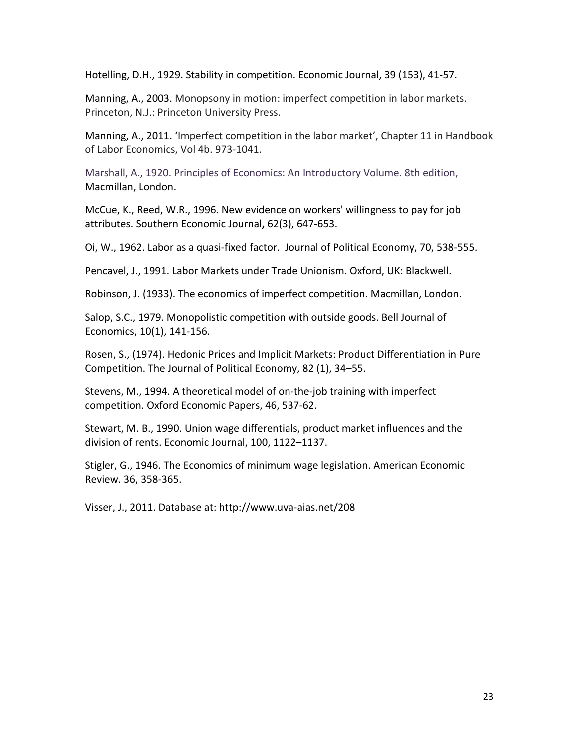Hotelling, D.H., 1929. Stability in competition. Economic Journal, 39 (153), 41-57.

Manning, A., 2003. Monopsony in motion: imperfect competition in labor markets. Princeton, N.J.: Princeton University Press.

Manning, A., 2011. 'Imperfect competition in the labor market', Chapter 11 in Handbook of Labor Economics, Vol 4b. 973-1041.

Marshall, A., 1920. Principles of Economics: An Introductory Volume. 8th edition, Macmillan, London.

McCue, K., [Reed,](http://scholar.google.co.uk/citations?user=9TGHgBkAAAAJ&hl=en&oi=sra) W.R., 1996. [New evidence on workers' willingness to pay for job](http://www.jstor.org/stable/10.2307/1060884)  [attributes.](http://www.jstor.org/stable/10.2307/1060884) Southern Economic Journal**,** 62(3), 647-653.

Oi, W., 1962. Labor as a quasi-fixed factor. Journal of Political Economy, 70, 538-555.

Pencavel, J., 1991. Labor Markets under Trade Unionism. Oxford, UK: Blackwell.

Robinson, J. (1933). The economics of imperfect competition. Macmillan, London.

Salop, S.C., 1979. Monopolistic competition with outside goods. Bell Journal of Economics, 10(1), 141-156.

Rosen, S., (1974). Hedonic Prices and Implicit Markets: Product Differentiation in Pure Competition. The Journal of Political Economy, 82 (1), 34–55.

Stevens, M., 1994. A theoretical model of on-the-job training with imperfect competition. Oxford Economic Papers, 46, 537-62.

Stewart, M. B., 1990. Union wage differentials, product market influences and the division of rents. Economic Journal, 100, 1122–1137.

Stigler, G., 1946. The Economics of minimum wage legislation. American Economic Review. 36, 358-365.

Visser, J., 2011. Database at: http://www.uva-aias.net/208